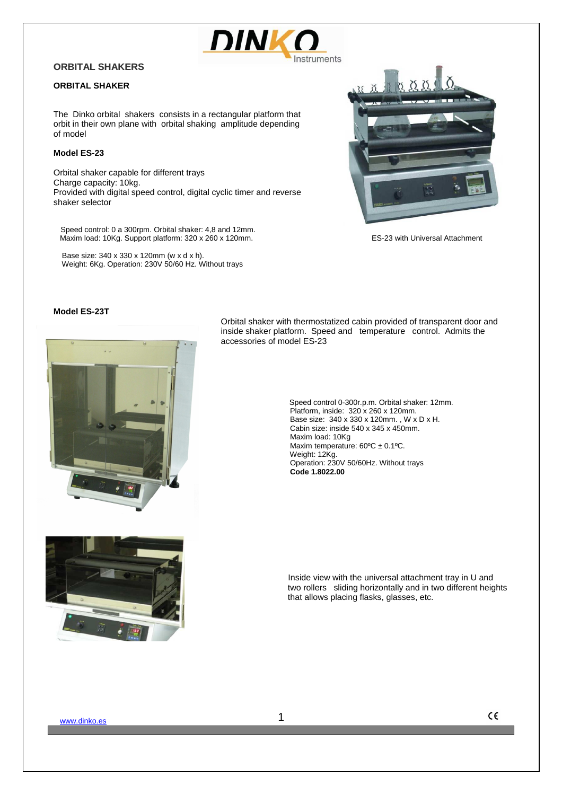

# **ORBITAL SHAKERS**

# **ORBITAL SHAKER**

The Dinko orbital shakers consists in a rectangular platform that orbit in their own plane with orbital shaking amplitude depending of model

### **Model ES-23**

Orbital shaker capable for different trays Charge capacity: 10kg. Provided with digital speed control, digital cyclic timer and reverse shaker selector

 Speed control: 0 a 300rpm. Orbital shaker: 4,8 and 12mm. Maxim load: 10Kg. Support platform: 320 x 260 x 120mm. ES-23 with Universal Attachment

 Base size: 340 x 330 x 120mm (w x d x h). Weight: 6Kg. Operation: 230V 50/60 Hz. Without trays



#### **Model ES-23T**



Orbital shaker with thermostatized cabin provided of transparent door and inside shaker platform. Speed and temperature control. Admits the accessories of model ES-23

> Speed control 0-300r.p.m. Orbital shaker: 12mm. Platform, inside: 320 x 260 x 120mm. Base size: 340 x 330 x 120mm. , W x D x H. Cabin size: inside 540 x 345 x 450mm. Maxim load: 10Kg Maxim temperature:  $60^{\circ}$ C ± 0.1°C. Weight: 12Kg. Operation: 230V 50/60Hz. Without trays **Code 1.8022.00**



www.dinko.es **1**